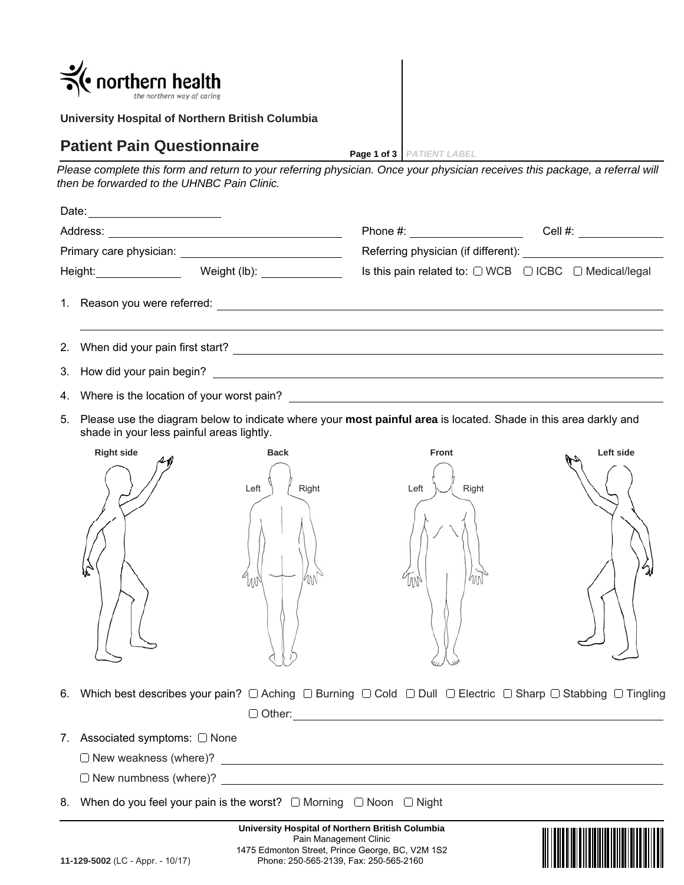|    | northern health<br>the northern way of caring! |                                                  |                                                                                                                                                                                                                                |           |
|----|------------------------------------------------|--------------------------------------------------|--------------------------------------------------------------------------------------------------------------------------------------------------------------------------------------------------------------------------------|-----------|
|    |                                                | University Hospital of Northern British Columbia |                                                                                                                                                                                                                                |           |
|    | <b>Patient Pain Questionnaire</b>              |                                                  | Page 1 of 3   PATIENT LABEL                                                                                                                                                                                                    |           |
|    | then be forwarded to the UHNBC Pain Clinic.    |                                                  | Please complete this form and return to your referring physician. Once your physician receives this package, a referral will                                                                                                   |           |
|    |                                                |                                                  |                                                                                                                                                                                                                                |           |
|    |                                                |                                                  |                                                                                                                                                                                                                                |           |
|    |                                                |                                                  |                                                                                                                                                                                                                                |           |
|    |                                                |                                                  | Is this pain related to: $\Box$ WCB $\Box$ ICBC $\Box$ Medical/legal                                                                                                                                                           |           |
|    |                                                |                                                  |                                                                                                                                                                                                                                |           |
| 2. |                                                |                                                  | When did your pain first start? The start of the start of the start of the start of the start of the start of the start of the start of the start of the start of the start of the start of the start of the start of the star |           |
| 3. |                                                |                                                  |                                                                                                                                                                                                                                |           |
| 4. |                                                |                                                  |                                                                                                                                                                                                                                |           |
| 5. | shade in your less painful areas lightly.      |                                                  | Please use the diagram below to indicate where your most painful area is located. Shade in this area darkly and                                                                                                                |           |
|    | <b>Right side</b>                              | <b>Back</b><br>Left<br>Right<br>M                | <b>Front</b><br>Left<br>Right<br>W                                                                                                                                                                                             | Left side |
| 6. |                                                |                                                  | Which best describes your pain? $\Box$ Aching $\Box$ Burning $\Box$ Cold $\Box$ Dull $\Box$ Electric $\Box$ Sharp $\Box$ Stabbing $\Box$ Tingling                                                                              |           |

Other:

- 7. Associated symptoms: None
	- New weakness (where)?

New numbness (where)?

8. When do you feel your pain is the worst?  $\Box$  Morning  $\Box$  Noon  $\Box$  Night

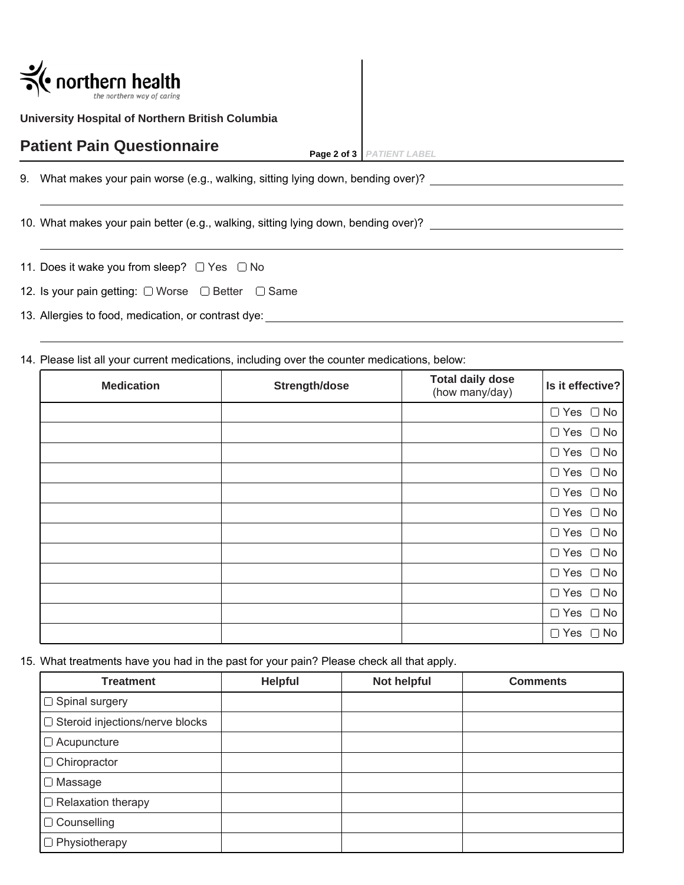

**University Hospital of Northern British Columbia**

## **Patient Pain Questionnaire**

**Page 2 of 3** *PATIENT LABEL*

9. What makes your pain worse (e.g., walking, sitting lying down, bending over)?

10. What makes your pain better (e.g., walking, sitting lying down, bending over)?

| 11. Does it wake you from sleep? $\Box$ Yes $\Box$ No |  |  |
|-------------------------------------------------------|--|--|
|                                                       |  |  |

12. Is your pain getting:  $\Box$  Worse  $\Box$  Better  $\Box$  Same

13. Allergies to food, medication, or contrast dye:

14. Please list all your current medications, including over the counter medications, below:

| <b>Medication</b> | Strength/dose | <b>Total daily dose</b><br>(how many/day) | Is it effective?     |
|-------------------|---------------|-------------------------------------------|----------------------|
|                   |               |                                           | $\Box$ Yes $\Box$ No |
|                   |               |                                           | $\Box$ Yes $\Box$ No |
|                   |               |                                           | $\Box$ Yes $\Box$ No |
|                   |               |                                           | $\Box$ Yes $\Box$ No |
|                   |               |                                           | $\Box$ Yes $\Box$ No |
|                   |               |                                           | $\Box$ Yes $\Box$ No |
|                   |               |                                           | $\Box$ Yes $\Box$ No |
|                   |               |                                           | $\Box$ Yes $\Box$ No |
|                   |               |                                           | $\Box$ Yes $\Box$ No |
|                   |               |                                           | $\Box$ Yes $\Box$ No |
|                   |               |                                           | $\Box$ Yes $\Box$ No |
|                   |               |                                           | $\Box$ Yes $\Box$ No |

15. What treatments have you had in the past for your pain? Please check all that apply.

| <b>Treatment</b>                  | <b>Helpful</b> | Not helpful | <b>Comments</b> |
|-----------------------------------|----------------|-------------|-----------------|
| $\Box$ Spinal surgery             |                |             |                 |
| □ Steroid injections/nerve blocks |                |             |                 |
| $\Box$ Acupuncture                |                |             |                 |
| $\Box$ Chiropractor               |                |             |                 |
| $\Box$ Massage                    |                |             |                 |
| $\Box$ Relaxation therapy         |                |             |                 |
| $\Box$ Counselling                |                |             |                 |
| $\Box$ Physiotherapy              |                |             |                 |